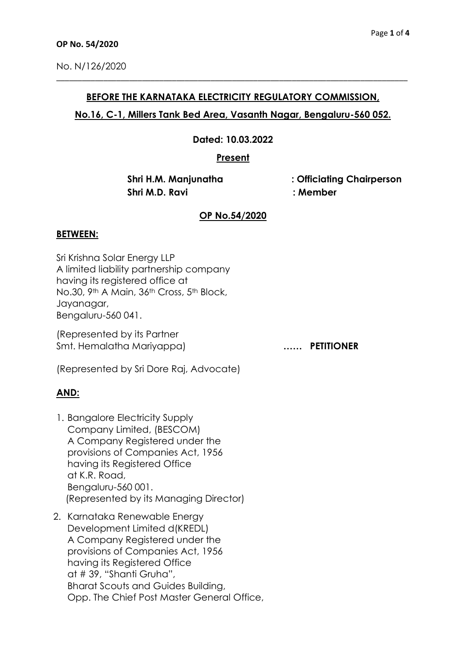## **BEFORE THE KARNATAKA ELECTRICITY REGULATORY COMMISSION,**

\_\_\_\_\_\_\_\_\_\_\_\_\_\_\_\_\_\_\_\_\_\_\_\_\_\_\_\_\_\_\_\_\_\_\_\_\_\_\_\_\_\_\_\_\_\_\_\_\_\_\_\_\_\_\_\_\_\_\_\_\_\_\_\_\_\_\_\_\_\_\_\_\_\_\_\_\_\_\_\_\_\_

## **No.16, C-1, Millers Tank Bed Area, Vasanth Nagar, Bengaluru-560 052.**

**Dated: 10.03.2022**

**Present**

 **Shri M.D. Ravi : Member**

 **Shri H.M. Manjunatha : Officiating Chairperson** 

## **OP No.54/2020**

## **BETWEEN:**

Sri Krishna Solar Energy LLP A limited liability partnership company having its registered office at No.30, 9th A Main, 36th Cross, 5th Block, Jayanagar, Bengaluru-560 041.

(Represented by its Partner Smt. Hemalatha Mariyappa) **…… PETITIONER** 

(Represented by Sri Dore Raj, Advocate)

# **AND:**

- 1. Bangalore Electricity Supply Company Limited, (BESCOM) A Company Registered under the provisions of Companies Act, 1956 having its Registered Office at K.R. Road, Bengaluru-560 001. (Represented by its Managing Director)
- 2. Karnataka Renewable Energy Development Limited d(KREDL) A Company Registered under the provisions of Companies Act, 1956 having its Registered Office at # 39, "Shanti Gruha", Bharat Scouts and Guides Building, Opp. The Chief Post Master General Office,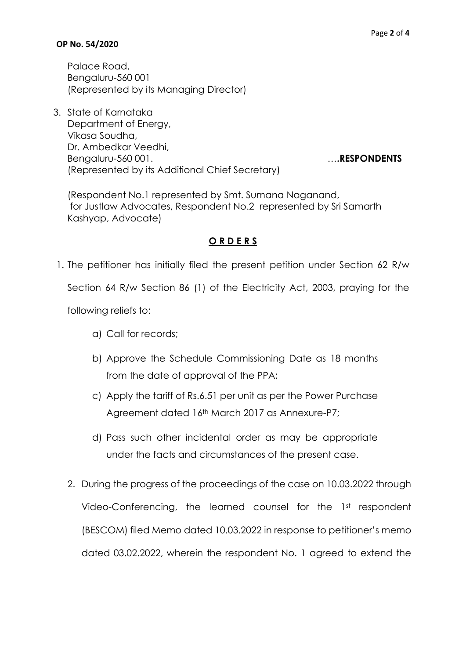### **OP No. 54/2020**

Palace Road, Bengaluru-560 001 (Represented by its Managing Director)

3. State of Karnataka Department of Energy, Vikasa Soudha, Dr. Ambedkar Veedhi, Bengaluru-560 001. (Represented by its Additional Chief Secretary)

(Respondent No.1 represented by Smt. Sumana Naganand, for Justlaw Advocates, Respondent No.2 represented by Sri Samarth Kashyap, Advocate)

### **O R D E R S**

1. The petitioner has initially filed the present petition under Section 62 R/w

Section 64 R/w Section 86 (1) of the Electricity Act, 2003, praying for the

following reliefs to:

- a) Call for records;
- b) Approve the Schedule Commissioning Date as 18 months from the date of approval of the PPA;
- c) Apply the tariff of Rs.6.51 per unit as per the Power Purchase Agreement dated 16th March 2017 as Annexure-P7;
- d) Pass such other incidental order as may be appropriate under the facts and circumstances of the present case.
- 2. During the progress of the proceedings of the case on 10.03.2022 through Video-Conferencing, the learned counsel for the 1st respondent (BESCOM) filed Memo dated 10.03.2022 in response to petitioner's memo dated 03.02.2022, wherein the respondent No. 1 agreed to extend the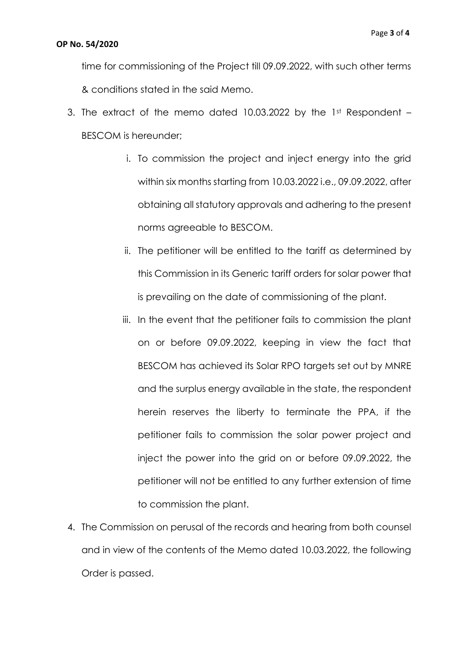#### **OP No. 54/2020**

time for commissioning of the Project till 09.09.2022, with such other terms & conditions stated in the said Memo.

- 3. The extract of the memo dated 10.03.2022 by the 1st Respondent  $-$ BESCOM is hereunder;
	- i. To commission the project and inject energy into the grid within six months starting from 10.03.2022 i.e., 09.09.2022, after obtaining all statutory approvals and adhering to the present norms agreeable to BESCOM.
	- ii. The petitioner will be entitled to the tariff as determined by this Commission in its Generic tariff orders for solar power that is prevailing on the date of commissioning of the plant.
	- iii. In the event that the petitioner fails to commission the plant on or before 09.09.2022, keeping in view the fact that BESCOM has achieved its Solar RPO targets set out by MNRE and the surplus energy available in the state, the respondent herein reserves the liberty to terminate the PPA, if the petitioner fails to commission the solar power project and inject the power into the grid on or before 09.09.2022, the petitioner will not be entitled to any further extension of time to commission the plant.
- 4. The Commission on perusal of the records and hearing from both counsel and in view of the contents of the Memo dated 10.03.2022, the following Order is passed.